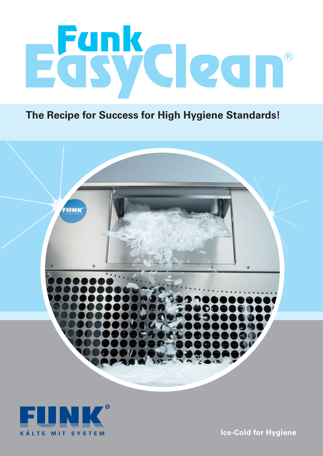

**The Recipe for Success for High Hygiene Standards!**



**KÄLTE MIT SYSTEM** 

**Ice-Cold for Hygiene**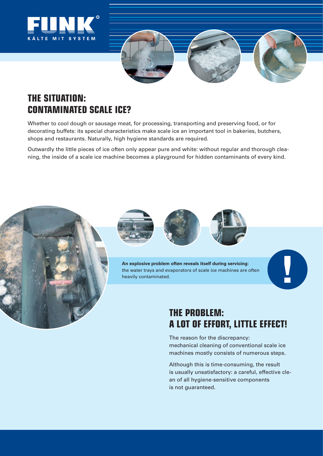



# **THE SITUATION: CONTAMINATED SCALE ICE?**

Whether to cool dough or sausage meat, for processing, transporting and preserving food, or for decorating buffets: its special characteristics make scale ice an important tool in bakeries, butchers, shops and restaurants. Naturally, high hygiene standards are required.

Outwardly the little pieces of ice often only appear pure and white: without regular and thorough cleaning, the inside of a scale ice machine becomes a playground for hidden contaminants of every kind.









**0** 

**An explosive problem often reveals itself during servicing:** the water trays and evaporators of scale ice machines are often heavily contaminated.

## **THE PROBLEM: A LOT OF EFFORT, LITTLE EFFECT!**

The reason for the discrepancy: mechanical cleaning of conventional scale ice machines mostly consists of numerous steps.

Although this is time-consuming, the result is usually unsatisfactory: a careful, effective clean of all hygiene-sensitive components is not guaranteed.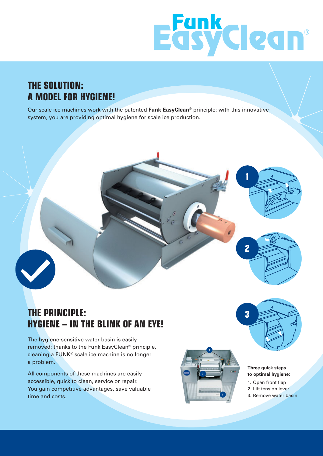

## **THE SOLUTION: A MODEL FOR HYGIENE!**

Our scale ice machines work with the patented **Funk EasyClean®** principle: with this innovative system, you are providing optimal hygiene for scale ice production.



## **THE PRINCIPLE: HYGIENE – IN THE BLINK OF AN EYE!**

The hygiene-sensitive water basin is easily removed: thanks to the Funk EasyClean® principle, cleaning a FUNK® scale ice machine is no longer a problem.

All components of these machines are easily accessible, quick to clean, service or repair. You gain competitive advantages, save valuable time and costs.





#### **Three quick steps to optimal hygiene:**

- 1. Open front flap
- 2. Lift tension lever
- 3. Remove water basin